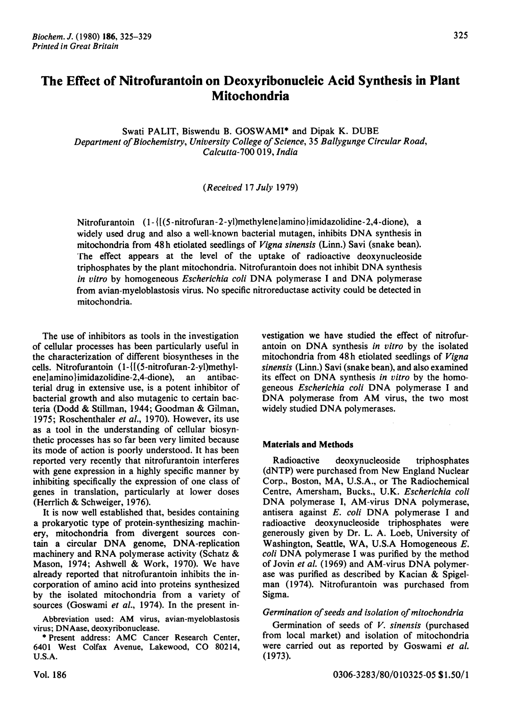Swati PALIT, Biswendu B. GOSWAMI\* and Dipak K. DUBE Department of Biochemistry, University College of Science, 35 Ballygunge Circular Road, Calcutta-700 019, India

## (Received 17 July 1979)

Nitrofurantoin  $(1 - \{[(5 - nitrofuran - 2 - y])\text{methylene}]\text{amino}}\$ imidazolidine-2,4-dione), a widely used drug and also <sup>a</sup> well-known bacterial mutagen, inhibits DNA synthesis in mitochondria from 48h etiolated seedlings of Vigna sinensis (Linn.) Savi (snake bean). rhe effect appears at the level of the uptake of radioactive deoxynucleoside triphosphates by the plant mitochondria. Nitrofurantoin does not inhibit DNA synthesis in vitro by homogeneous *Escherichia coli* DNA polymerase I and DNA polymerase from avian-myeloblastosis virus. No specific nitroreductase activity could be detected in mitochondria.

The use of inhibitors as tools in the investigation of cellular processes has been particularly useful in the characterization of different biosyntheses in the cells. Nitrofurantoin  $(1 - \{[(5\text{-nitrofuran-2-y])\text{methyl}$ ene]amino}imidazolidine-2,4-dione), an antibacterial drug in extensive use, is a potent inhibitor of bacterial growth and also mutagenic to certain bacteria (Dodd & Stillman, 1944; Goodman & Gilman, 1975; Roschenthaler et al., 1970). However, its use as a tool in the understanding of cellular biosynthetic processes has so far been very limited because its mode of action is poorly understood. It has been reported very recently that nitrofurantoin interferes with gene expression in a highly specific manner by inhibiting specifically the expression of one class of genes in translation, particularly at lower doses (Herrlich & Schweiger, 1976).

It is now well established that, besides containing a prokaryotic type of protein-synthesizing machinery, mitochondria from divergent sources contain <sup>a</sup> circular DNA genome, DNA-replication machinery and RNA polymerase activity (Schatz & Mason, 1974; Ashwell & Work, 1970). We have already reported that nitrofurantoin inhibits the incorporation of amino acid into proteins synthesized by the isolated mitochondria from a variety of sources (Goswami et al., 1974). In the present in-

Abbreviation used: AM virus, avian-myeloblastosis virus; DNAase, deoxyribonuclease.

\* Present address: AMC Cancer Research Center, <sup>6401</sup> West Colfax Avenue, Lakewood, CO 80214, U.S.A.

vestigation we have studied the effect of nitrofurantoin on DNA synthesis in vitro by the isolated mitochondria from 48h etiolated seedlings of Vigna sinensis (Linn.) Savi (snake bean), and also examined its effect on DNA synthesis in vitro by the homogeneous Escherichia coli DNA polymerase <sup>I</sup> and DNA polymerase from AM virus, the two most widely studied DNA polymerases.

# Materials and Methods

Radioactive deoxynucleoside triphosphates (dNTP) were purchased from New England Nuclear Corp., Boston, MA, U.S.A., or The Radiochemical Centre, Amersham, Bucks., U.K. Escherichia coli DNA polymerase I, AM-virus DNA polymerase, antisera against E. coli DNA polymerase <sup>I</sup> and radioactive deoxynucleoside triphosphates were generously given by Dr. L. A. Loeb, University of Washington, Seattle, WA, U.S.A Homogeneous E. coli DNA polymerase <sup>I</sup> was purified by the method of Jovin et al. (1969) and AM-virus DNA polymerase was purified as described by Kacian & Spigelman (1974). Nitrofurantoin was purchased from Sigma.

## Germination of seeds and isolation of mitochondria

Germination of seeds of V. sinensis (purchased from local market) and isolation of mitochondria were carried out as reported by Goswami et al. (1973).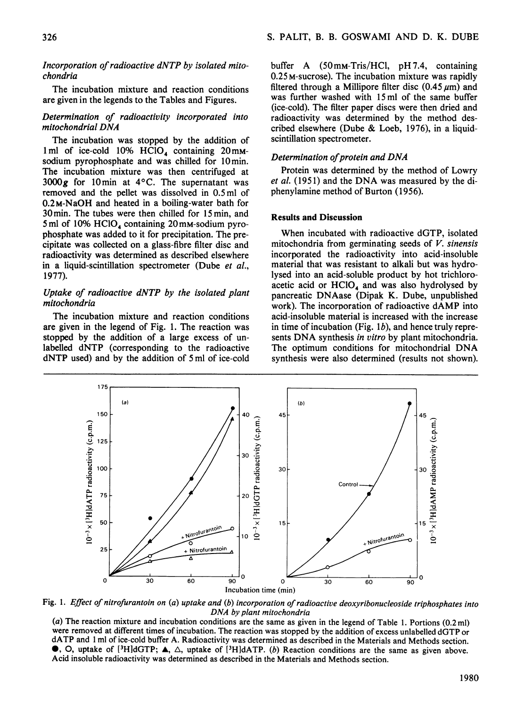#### Incorporation of radioactive dNTP by isolated mitochondria

The incubation mixture and reaction conditions are given in the legends to the Tables and Figures.

### Determination of radioactivity incorporated into mitochondrial DNA

The incubation was stopped by the addition of 1 ml of ice-cold 10%  $HCIO<sub>4</sub>$  containing 20 mmsodium pyrophosphate and was chilled for 10min. The incubation mixture was then centrifuged at 3000 $g$  for 10 min at 4 $\degree$ C. The supernatant was removed and the pellet was dissolved in 0.5ml of 0.2M-NaOH and heated in a boiling-water bath for 30min. The tubes were then chilled for 15min, and 5 ml of 10%  $HClO<sub>4</sub>$  containing 20 mm-sodium pyrophosphate was added to it for precipitation. The precipitate was collected on a glass-fibre filter disc and radioactivity was determined as described elsewhere in a liquid-scintillation spectrometer (Dube et al., 1977).

## Uptake of radioactive dNTP by the isolated plant mitochondria

The incubation mixture and reaction conditions are given in the legend of Fig. 1. The reaction was stopped by the addition of a large excess of unlabelled dNTP (corresponding to the radioactive dNTP used) and by the addition of <sup>5</sup> ml of ice-cold

buffer A (50mm-Tris/HCl, pH 7.4, containing 0.25 M-sucrose). The incubation mixture was rapidly filtered through a Millipore filter disc  $(0.45 \mu m)$  and was further washed with 15 ml of the same buffer (ice-cold). The filter paper discs were then dried and radioactivity was determined by the method described elsewhere (Dube & Loeb, 1976), in <sup>a</sup> liquidscintillation spectrometer.

## Determination of protein and DNA

Protein was determined by the method of Lowry et al. (1951) and the DNA was measured by the diphenylamine method of Burton (1956).

## Results and Discussion

When incubated with radioactive dGTP, isolated mitochondria from germinating seeds of  $V$ . sinensis incorporated the radioactivity into acid-insoluble material that was resistant to alkali but was hydrolysed into an acid-soluble product by hot trichloroacetic acid or  $HClO<sub>4</sub>$  and was also hydrolysed by pancreatic DNAase (Dipak K. Dube, unpublished work). The incorporation of radioactive dAMP into acid-insoluble material is increased with the increase in time of incubation (Fig.  $1b$ ), and hence truly represents DNA synthesis in vitro by plant mitochondria. The optimum conditions for mitochondrial DNA synthesis were also determined (results not shown).



Fig. 1. Effect of nitrofurantoin on (a) uptake and (b) incorporation of radioactive deoxyribonucleoside triphosphates into DNA by plant mitochondria

(a) The reaction mixture and incubation conditions are the same as given in the legend of Table 1. Portions (0.2 ml) were removed at different times of incubation. The reaction was stopped by the addition of excess unlabelled dGTP or dATP and <sup>1</sup> ml of ice-cold buffer A. Radioactivity was determined as described in the Materials and Methods section.  $\bullet$ , O, uptake of [<sup>3</sup>H]dGTP;  $\blacktriangle$ ,  $\triangle$ , uptake of [<sup>3</sup>H]dATP. (b) Reaction conditions are the same as given above. Acid insoluble radioactivity was determined as described in the Materials and Methods section.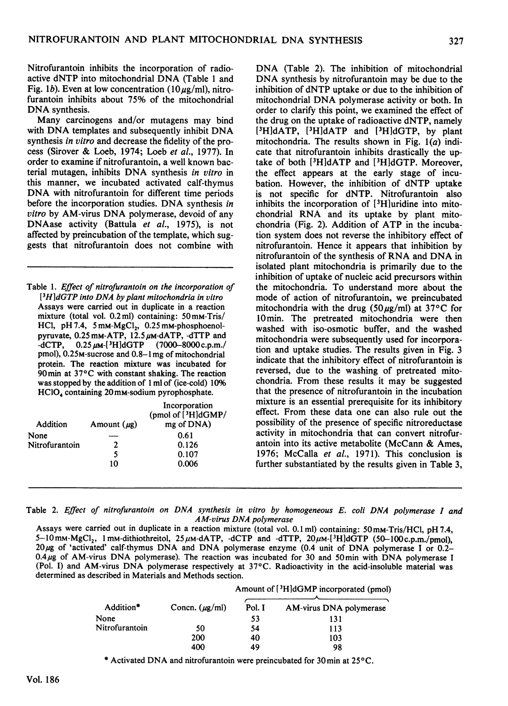Nitrofurantoin inhibits the incorporation of radioactive dNTP into mitochondrial DNA (Table <sup>1</sup> and Fig. 1b). Even at low concentration (10 $\mu$ g/ml), nitrofurantoin inhibits about 75% of the mitochondrial DNA synthesis.

Many carcinogens and/or mutagens may bind with DNA templates and subsequently inhibit DNA synthesis in vitro and decrease the fidelity of the process (Sirover & Loeb, 1974; Loeb et al., 1977). In order to examine if nitrofurantoin, a well known bacterial mutagen, inhibits DNA synthesis in vitro in this manner, we incubated activated calf-thymus DNA with nitrofurantoin for different time periods before the incorporation studies. DNA synthesis in vitro by AM-virus DNA polymerase, devoid of any DNAase activity (Battula et al., 1975), is not affected by preincubation of the template, which suggests that nitrofurantoin does not combine with

Table 1. Effect of nitrofurantoin on the incorporation of  $[3H]dGTP$  into DNA by plant mitochondria in vitro Assays were carried out in duplicate in a reaction mixture (total vol. 0.2ml) containing: 50mM-Tris/ HCl, pH 7.4,  $5 \text{mm-MgCl}_2$ , 0.25 mM-phosphoenolpyruvate,  $0.25$  mM-ATP,  $12.5 \mu$ M-dATP, -dTTP and -dCTP,  $0.25 \mu$ M-[<sup>3</sup>H]dGTP (7000-8000 c.p.m./  $(7000 - 8000 \text{ c.p.m.})$ pmol), 0.25M-sucrose and 0.8-1mg of mitochondrial protein. The reaction mixture was incubated for 90 min at 37°C with constant shaking. The reaction was stopped by the addition of <sup>1</sup> ml of (ice-cold) 10% HClO<sub>4</sub> containing 20 mm-sodium pyrophosphate.

|                |                  | Incorporation<br>(pmol of [3H]dGMP/ |
|----------------|------------------|-------------------------------------|
| Addition       | Amount $(\mu g)$ | mg of DNA)                          |
| None           |                  | 0.61                                |
| Nitrofurantoin | 2                | 0.126                               |
|                | 5                | 0.107                               |
|                | 10               | 0.006                               |

DNA (Table 2). The inhibition of mitochondrial DNA synthesis by nitrofurantoin may be due to the inhibition of dNTP uptake or due to the inhibition of mitochondrial DNA polymerase activity or both. In order to clarify this point, we examined the effect of the drug on the uptake of radioactive dNTP, namely [<sup>3</sup>H]dATP, [<sup>3</sup>H]dATP and [<sup>3</sup>H]dGTP, by plant mitochondria. The results shown in Fig.  $1(a)$  indicate that nitrofurantoin inhibits drastically the uptake of both [3HIdATP and [3H]dGTP. Moreover, the effect appears at the early stage of incubation. However, the inhibition of dNTP uptake is not specific for dNTP. Nitrofurantoin also inhibits the incorporation of [3Hluridine into mitochondrial RNA and its uptake by plant mitochondria (Fig. 2). Addition of ATP in the incubation system does not reverse the inhibitory effect of nitrofurantoin. Hence it appears that inhibition by nitrofurantoin of the synthesis of RNA and DNA in isolated plant mitochondria is primarily due to the inhibition of uptake of nucleic acid precursors within the mitochondria. To understand more about the mode of action of nitrofurantoin, we preincubated mitochondria with the drug  $(50 \,\mu\text{g/ml})$  at 37°C for 10min. The pretreated mitochondria were then washed with iso-osmotic buffer, and the washed mitochondria were subsequently used for incorporation and uptake studies. The results given in Fig. 3 indicate that the inhibitory effect of nitrofurantoin is reversed, due to the washing of pretreated mitochondria. From these results it may be suggested that the presence of nitrofurantoin in the incubation mixture is an essential prerequisite for its inhibitory effect. From these data one can also rule out the possibility of the presence of specific nitroreductase activity in mitochondria that can convert nitrofurantoin into its active metabolite (McCann & Ames, 1976; McCalla et al., 1971). This conclusion is further substantiated by the results given in Table 3,

Table 2. Effect of nitrofurantoin on DNA synthesis in vitro by homogeneous E. coli DNA polymerase <sup>I</sup> and AM-virus DNA polymerase

Assays were carried out in duplicate in <sup>a</sup> reaction mixture (total vol. 0.1 ml) containing: 50mM-Tris/HCl, pH 7.4, 5-10 mm-MgCl<sub>2</sub>, 1 mm-dithiothreitol, 25  $\mu$ m-dATP, -dCTP and -dTTP, 20 $\mu$ m-[<sup>3</sup>H]dGTP (50-100 c.p.m./pmol), 20 µg of 'activated' calf-thymus DNA and DNA polymerase enzyme (0.4 unit of DNA polymerase I or 0.2- $0.4 \mu$ g of AM-virus DNA polymerase). The reaction was incubated for 30 and 50 min with DNA polymerase I (Pol. I) and AM-virus DNA polymerase respectively at 37°C. Radioactivity in the acid-insoluble material was determined as described in Materials and Methods section.

|                |                     | Amount of [3H]dGMP incorporated (pmol) |                         |  |
|----------------|---------------------|----------------------------------------|-------------------------|--|
| Addition*      | Concn. $(\mu g/ml)$ | Pol. I                                 | AM-virus DNA polymerase |  |
| None           |                     | 53                                     | 131                     |  |
| Nitrofurantoin | 50                  | 54                                     | 113                     |  |
|                | 200                 | 40                                     | 103                     |  |
|                | 400                 | 49                                     | 98                      |  |

\* Activated DNA and nitrofurantoin were preincubated for 30 min at 25°C.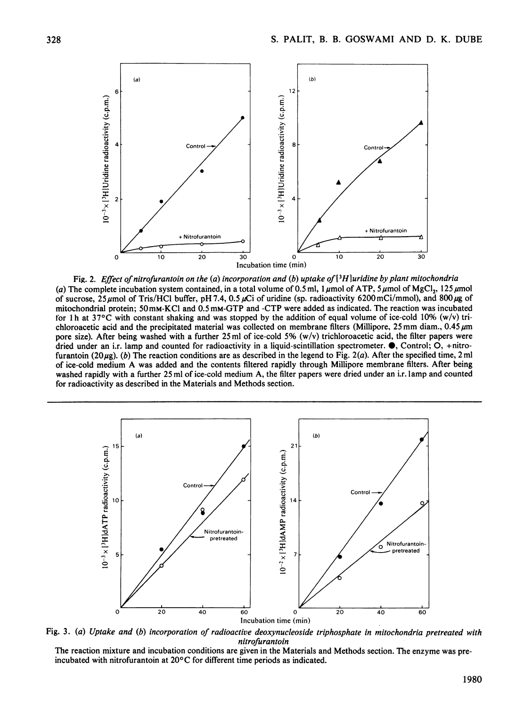

Fig. 2. Effect of nitrofurantoin on the (a) incorporation and (b) uptake of [3H]uridine by plant mitochondria (a) The complete incubation system contained, in a total volume of 0.5 ml, 1  $\mu$ mol of ATP, 5  $\mu$ mol of MgCl<sub>2</sub>, 125  $\mu$ mol of sucrose,  $25\mu$ mol of Tris/HCl buffer, pH 7.4, 0.5  $\mu$ Ci of uridine (sp. radioactivity 6200 mCi/mmol), and 800  $\mu$ g of mitochondrial protein; 50mM-KCl and 0.5 mM-GTP and -CTP were added as indicated. The reaction was incubated for 1 h at 37 $\degree$ C with constant shaking and was stopped by the addition of equal volume of ice-cold 10% (w/v) trichloroacetic acid and the precipitated material was collected on membrane filters (Millipore, 25 mm diam., 0.45  $\mu$ m pore size). After being washed with a further  $25 \text{ ml}$  of ice-cold  $5\%$  (w/v) trichloroacetic acid, the filter papers were dried under an i.r. lamp and counted for radioactivity in a liquid-scintillation spectrometer.  $\bullet$ , Control; O, +nitrofurantoin (20 $\mu$ g). (b) The reaction conditions are as described in the legend to Fig. 2(*a*). After the specified time, 2 ml of ice-cold medium A was added and the contents filtered rapidly through Millipore membrane filters. After being washed rapidly with a further 25 ml of ice-cold medium A, the filter papers were dried under an i.r. lamp and counted for radioactivity as described in the Materials and Methods section.



Fig. 3. (a) Uptake and (b) incorporation of radioactive deoxynucleoside triphosphate in mitochondria pretreated with nitrofurantoin

The reaction mixture and incubation conditions are given in the Materials and Methods section. The enzyme was preincubated with nitrofurantoin at 20°C for different time periods as indicated.